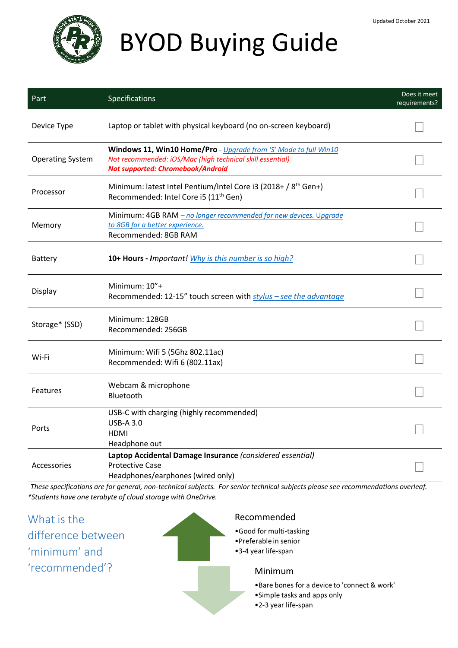

# BYOD Buying Guide

| Part                    | Specifications                                                                                                                                                     | Does it meet<br>requirements? |
|-------------------------|--------------------------------------------------------------------------------------------------------------------------------------------------------------------|-------------------------------|
| Device Type             | Laptop or tablet with physical keyboard (no on-screen keyboard)                                                                                                    |                               |
| <b>Operating System</b> | Windows 11, Win10 Home/Pro - Upgrade from 'S' Mode to full Win10<br>Not recommended: iOS/Mac (high technical skill essential)<br>Not supported: Chromebook/Android |                               |
| Processor               | Minimum: latest Intel Pentium/Intel Core i3 (2018+ / 8 <sup>th</sup> Gen+)<br>Recommended: Intel Core i5 (11 <sup>th</sup> Gen)                                    |                               |
| Memory                  | Minimum: 4GB RAM - no longer recommended for new devices. Upgrade<br>to 8GB for a better experience.<br>Recommended: 8GB RAM                                       |                               |
| <b>Battery</b>          | 10+ Hours - Important! Why is this number is so high?                                                                                                              |                               |
| Display                 | Minimum: 10"+<br>Recommended: 12-15" touch screen with stylus - see the advantage                                                                                  |                               |
| Storage* (SSD)          | Minimum: 128GB<br>Recommended: 256GB                                                                                                                               |                               |
| Wi-Fi                   | Minimum: Wifi 5 (5Ghz 802.11ac)<br>Recommended: Wifi 6 (802.11ax)                                                                                                  |                               |
| <b>Features</b>         | Webcam & microphone<br>Bluetooth                                                                                                                                   |                               |
| Ports                   | USB-C with charging (highly recommended)<br><b>USB-A 3.0</b><br>HDMI<br>Headphone out                                                                              |                               |
| Accessories             | Laptop Accidental Damage Insurance (considered essential)<br><b>Protective Case</b><br>Headphones/earphones (wired only)                                           |                               |

*These specifications are for general, non-technical subjects. For senior technical subjects please see recommendations overleaf. \*Students have one terabyte of cloud storage with OneDrive.*

What is the difference between 'minimum' and 'recommended'? Recommended •Good for multi-tasking •Preferable in senior •3-4 year life-span Minimum •Bare bones for a device to 'connect & work' •Simple tasks and apps only •2-3 year life-span